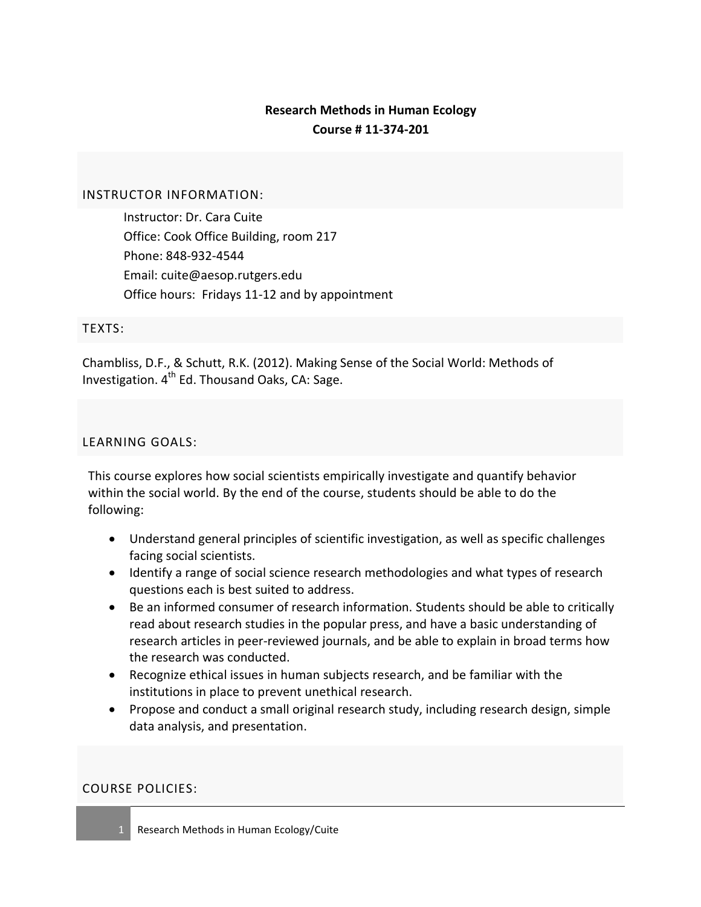# **Research Methods in Human Ecology Course # 11-374-201**

## INSTRUCTOR INFORMATION:

Instructor: Dr. Cara Cuite Office: Cook Office Building, room 217 Phone: 848-932-4544 Email: cuite@aesop.rutgers.edu Office hours: Fridays 11-12 and by appointment

## TEXTS:

Chambliss, D.F., & Schutt, R.K. (2012). Making Sense of the Social World: Methods of Investigation.  $4<sup>th</sup>$  Ed. Thousand Oaks, CA: Sage.

## LEARNING GOALS:

This course explores how social scientists empirically investigate and quantify behavior within the social world. By the end of the course, students should be able to do the following:

- Understand general principles of scientific investigation, as well as specific challenges facing social scientists.
- Identify a range of social science research methodologies and what types of research questions each is best suited to address.
- Be an informed consumer of research information. Students should be able to critically read about research studies in the popular press, and have a basic understanding of research articles in peer-reviewed journals, and be able to explain in broad terms how the research was conducted.
- Recognize ethical issues in human subjects research, and be familiar with the institutions in place to prevent unethical research.
- Propose and conduct a small original research study, including research design, simple data analysis, and presentation.

### COURSE POLICIES: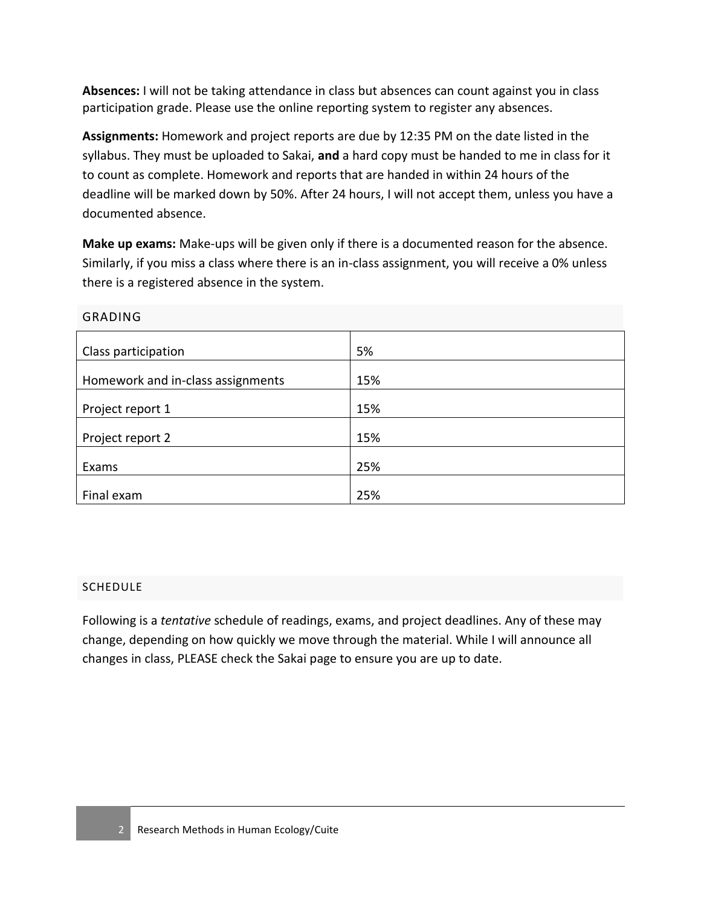**Absences:** I will not be taking attendance in class but absences can count against you in class participation grade. Please use the online reporting system to register any absences.

**Assignments:** Homework and project reports are due by 12:35 PM on the date listed in the syllabus. They must be uploaded to Sakai, **and** a hard copy must be handed to me in class for it to count as complete. Homework and reports that are handed in within 24 hours of the deadline will be marked down by 50%. After 24 hours, I will not accept them, unless you have a documented absence.

**Make up exams:** Make-ups will be given only if there is a documented reason for the absence. Similarly, if you miss a class where there is an in-class assignment, you will receive a 0% unless there is a registered absence in the system.

| Class participation               | 5%  |
|-----------------------------------|-----|
| Homework and in-class assignments | 15% |
| Project report 1                  | 15% |
| Project report 2                  | 15% |
| Exams                             | 25% |
| Final exam                        | 25% |

GRADING

## **SCHEDULE**

Following is a *tentative* schedule of readings, exams, and project deadlines. Any of these may change, depending on how quickly we move through the material. While I will announce all changes in class, PLEASE check the Sakai page to ensure you are up to date.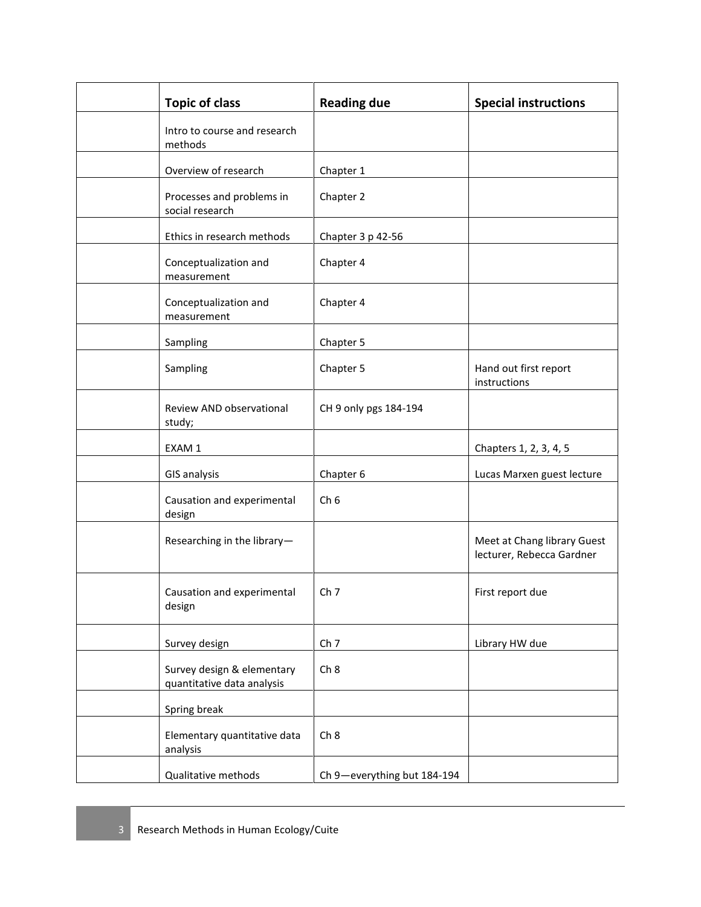| <b>Topic of class</b>                                    | <b>Reading due</b>          | <b>Special instructions</b>                              |
|----------------------------------------------------------|-----------------------------|----------------------------------------------------------|
| Intro to course and research<br>methods                  |                             |                                                          |
| Overview of research                                     | Chapter 1                   |                                                          |
| Processes and problems in<br>social research             | Chapter 2                   |                                                          |
| Ethics in research methods                               | Chapter 3 p 42-56           |                                                          |
| Conceptualization and<br>measurement                     | Chapter 4                   |                                                          |
| Conceptualization and<br>measurement                     | Chapter 4                   |                                                          |
| Sampling                                                 | Chapter 5                   |                                                          |
| Sampling                                                 | Chapter 5                   | Hand out first report<br>instructions                    |
| Review AND observational<br>study;                       | CH 9 only pgs 184-194       |                                                          |
| EXAM 1                                                   |                             | Chapters 1, 2, 3, 4, 5                                   |
| <b>GIS analysis</b>                                      | Chapter 6                   | Lucas Marxen guest lecture                               |
| Causation and experimental<br>design                     | Ch <sub>6</sub>             |                                                          |
| Researching in the library-                              |                             | Meet at Chang library Guest<br>lecturer, Rebecca Gardner |
| Causation and experimental<br>design                     | Ch <sub>7</sub>             | First report due                                         |
| Survey design                                            | Ch <sub>7</sub>             | Library HW due                                           |
| Survey design & elementary<br>quantitative data analysis | Ch <sub>8</sub>             |                                                          |
| Spring break                                             |                             |                                                          |
| Elementary quantitative data<br>analysis                 | Ch 8                        |                                                          |
| Qualitative methods                                      | Ch 9-everything but 184-194 |                                                          |